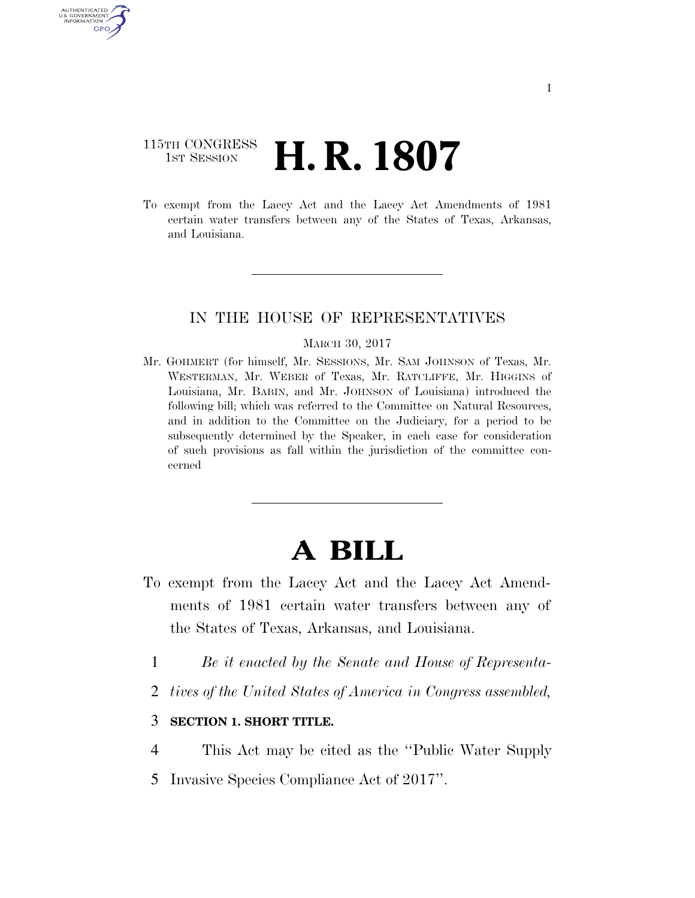### 115TH CONGRESS **1st Session H. R. 1807**

AUTHENTICATED U.S. GOVERNMENT GPO

> To exempt from the Lacey Act and the Lacey Act Amendments of 1981 certain water transfers between any of the States of Texas, Arkansas, and Louisiana.

### IN THE HOUSE OF REPRESENTATIVES

#### MARCH 30, 2017

Mr. GOHMERT (for himself, Mr. SESSIONS, Mr. SAM JOHNSON of Texas, Mr. WESTERMAN, Mr. WEBER of Texas, Mr. RATCLIFFE, Mr. HIGGINS of Louisiana, Mr. BABIN, and Mr. JOHNSON of Louisiana) introduced the following bill; which was referred to the Committee on Natural Resources, and in addition to the Committee on the Judiciary, for a period to be subsequently determined by the Speaker, in each case for consideration of such provisions as fall within the jurisdiction of the committee concerned

# **A BILL**

- To exempt from the Lacey Act and the Lacey Act Amendments of 1981 certain water transfers between any of the States of Texas, Arkansas, and Louisiana.
	- 1 *Be it enacted by the Senate and House of Representa-*
	- 2 *tives of the United States of America in Congress assembled,*
	- 3 **SECTION 1. SHORT TITLE.**
	- 4 This Act may be cited as the ''Public Water Supply
	- 5 Invasive Species Compliance Act of 2017''.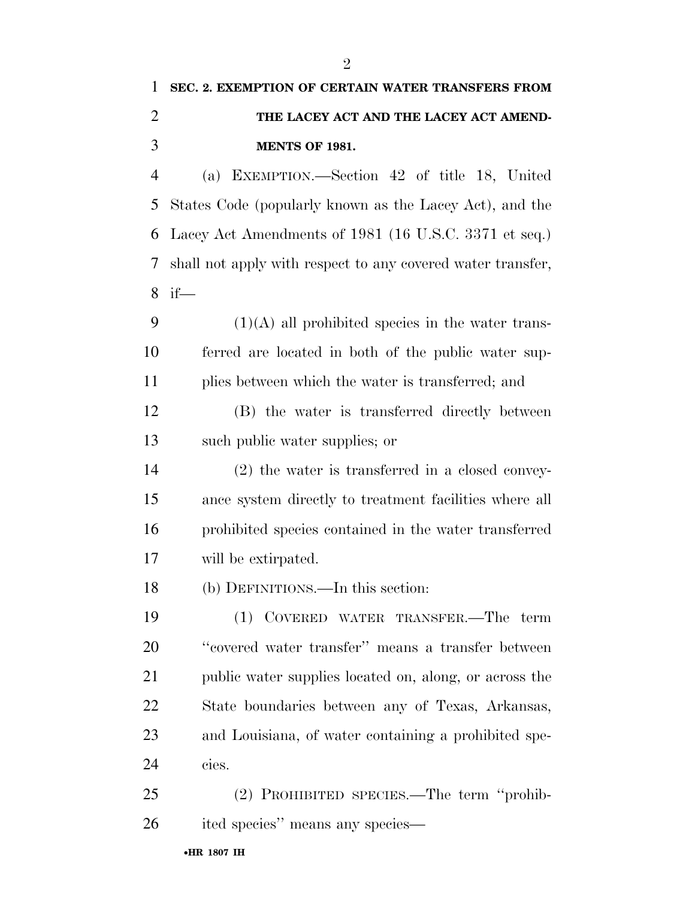# **SEC. 2. EXEMPTION OF CERTAIN WATER TRANSFERS FROM THE LACEY ACT AND THE LACEY ACT AMEND-MENTS OF 1981.**

 (a) EXEMPTION.—Section 42 of title 18, United States Code (popularly known as the Lacey Act), and the Lacey Act Amendments of 1981 (16 U.S.C. 3371 et seq.) shall not apply with respect to any covered water transfer, if—

9  $(1)(A)$  all prohibited species in the water trans- ferred are located in both of the public water sup-plies between which the water is transferred; and

 (B) the water is transferred directly between such public water supplies; or

 (2) the water is transferred in a closed convey- ance system directly to treatment facilities where all prohibited species contained in the water transferred will be extirpated.

(b) DEFINITIONS.—In this section:

 (1) COVERED WATER TRANSFER.—The term ''covered water transfer'' means a transfer between public water supplies located on, along, or across the State boundaries between any of Texas, Arkansas, and Louisiana, of water containing a prohibited spe-cies.

 (2) PROHIBITED SPECIES.—The term ''prohib-ited species'' means any species—